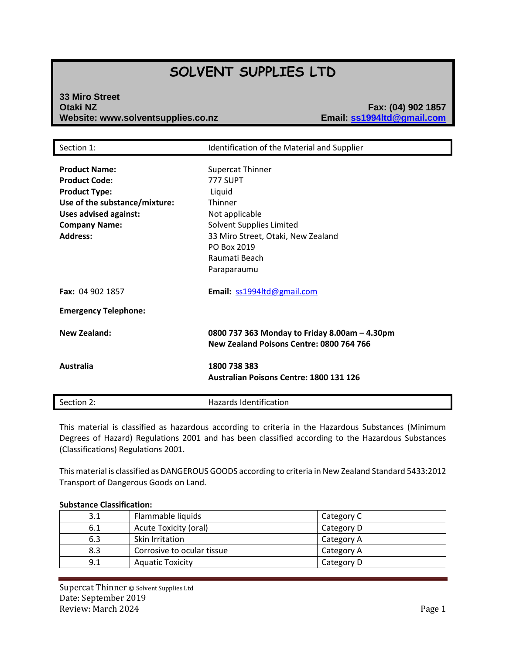# **SOLVENT SUPPLIES LTD**

# **33 Miro Street Otaki NZ Fax: (04) 902 1857 Website: www.solventsupplies.co.nz**

| Section 1:                                                                                                                                                                       | Identification of the Material and Supplier                                                                                                                                                 |
|----------------------------------------------------------------------------------------------------------------------------------------------------------------------------------|---------------------------------------------------------------------------------------------------------------------------------------------------------------------------------------------|
| <b>Product Name:</b><br><b>Product Code:</b><br><b>Product Type:</b><br>Use of the substance/mixture:<br><b>Uses advised against:</b><br><b>Company Name:</b><br><b>Address:</b> | <b>Supercat Thinner</b><br>777 SUPT<br>Liquid<br>Thinner<br>Not applicable<br>Solvent Supplies Limited<br>33 Miro Street, Otaki, New Zealand<br>PO Box 2019<br>Raumati Beach<br>Paraparaumu |
| Fax: 04 902 1857                                                                                                                                                                 | Email: ss1994ltd@gmail.com                                                                                                                                                                  |
| <b>Emergency Telephone:</b>                                                                                                                                                      |                                                                                                                                                                                             |
| <b>New Zealand:</b>                                                                                                                                                              | 0800 737 363 Monday to Friday 8.00am - 4.30pm<br>New Zealand Poisons Centre: 0800 764 766                                                                                                   |
| Australia                                                                                                                                                                        | 1800 738 383<br><b>Australian Poisons Centre: 1800 131 126</b>                                                                                                                              |
| Section 2:                                                                                                                                                                       | Hazards Identification                                                                                                                                                                      |

This material is classified as hazardous according to criteria in the Hazardous Substances (Minimum Degrees of Hazard) Regulations 2001 and has been classified according to the Hazardous Substances (Classifications) Regulations 2001.

This material is classified as DANGEROUS GOODS according to criteria in New Zealand Standard 5433:2012 Transport of Dangerous Goods on Land.

# **Substance Classification:** 3.1 | Flammable liquids | Category C 6.1 Acute Toxicity (oral) Category D 6.3 Skin Irritation Service Category A 8.3 Corrosive to ocular tissue Category A 9.1 | Aquatic Toxicity | Category D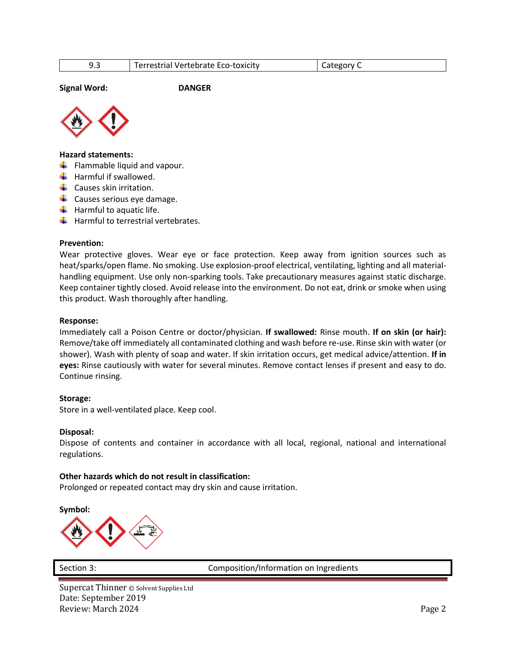| - - | Terrestrial Vertebrate Eco-toxicity | ategory ' |
|-----|-------------------------------------|-----------|

**Signal Word: DANGER**



### **Hazard statements:**

- $\leftarrow$  Flammable liquid and vapour.
- $\frac{1}{\sqrt{2}}$  Harmful if swallowed.
- $\leftarrow$  Causes skin irritation.
- $\leftarrow$  Causes serious eye damage.
- $\ddot{\bullet}$  Harmful to aquatic life.
- $\frac{1}{\sqrt{1}}$  Harmful to terrestrial vertebrates.

### **Prevention:**

Wear protective gloves. Wear eye or face protection. Keep away from ignition sources such as heat/sparks/open flame. No smoking. Use explosion-proof electrical, ventilating, lighting and all materialhandling equipment. Use only non-sparking tools. Take precautionary measures against static discharge. Keep container tightly closed. Avoid release into the environment. Do not eat, drink or smoke when using this product. Wash thoroughly after handling.

#### **Response:**

Immediately call a Poison Centre or doctor/physician. **If swallowed:** Rinse mouth. **If on skin (or hair):**  Remove/take off immediately all contaminated clothing and wash before re-use. Rinse skin with water (or shower). Wash with plenty of soap and water. If skin irritation occurs, get medical advice/attention. **If in eyes:** Rinse cautiously with water for several minutes. Remove contact lenses if present and easy to do. Continue rinsing.

### **Storage:**

Store in a well-ventilated place. Keep cool.

### **Disposal:**

Dispose of contents and container in accordance with all local, regional, national and international regulations.

### **Other hazards which do not result in classification:**

Prolonged or repeated contact may dry skin and cause irritation.

**Symbol:**



Section 3: Composition/Information on Ingredients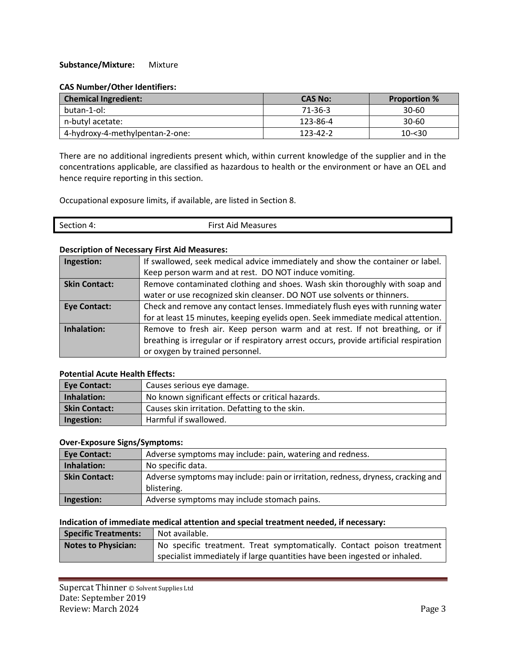### **Substance/Mixture:** Mixture

### **CAS Number/Other Identifiers:**

| <b>Chemical Ingredient:</b>     | <b>CAS No:</b> | <b>Proportion %</b> |
|---------------------------------|----------------|---------------------|
| butan-1-ol:                     | 71-36-3        | 30-60               |
| n-butyl acetate:                | 123-86-4       | $30 - 60$           |
| 4-hydroxy-4-methylpentan-2-one: | 123-42-2       | $10 - 30$           |

There are no additional ingredients present which, within current knowledge of the supplier and in the concentrations applicable, are classified as hazardous to health or the environment or have an OEL and hence require reporting in this section.

Occupational exposure limits, if available, are listed in Section 8.

| Section 4: | First Aid Measures |
|------------|--------------------|
|            |                    |

### **Description of Necessary First Aid Measures:**

| Ingestion:           | If swallowed, seek medical advice immediately and show the container or label.         |
|----------------------|----------------------------------------------------------------------------------------|
|                      | Keep person warm and at rest. DO NOT induce vomiting.                                  |
| <b>Skin Contact:</b> | Remove contaminated clothing and shoes. Wash skin thoroughly with soap and             |
|                      | water or use recognized skin cleanser. DO NOT use solvents or thinners.                |
| <b>Eye Contact:</b>  | Check and remove any contact lenses. Immediately flush eyes with running water         |
|                      | for at least 15 minutes, keeping eyelids open. Seek immediate medical attention.       |
| Inhalation:          | Remove to fresh air. Keep person warm and at rest. If not breathing, or if             |
|                      | breathing is irregular or if respiratory arrest occurs, provide artificial respiration |
|                      | or oxygen by trained personnel.                                                        |

# **Potential Acute Health Effects:**

| <b>Eye Contact:</b>  | Causes serious eye damage.                        |
|----------------------|---------------------------------------------------|
| Inhalation:          | No known significant effects or critical hazards. |
| <b>Skin Contact:</b> | Causes skin irritation. Defatting to the skin.    |
| Ingestion:           | Harmful if swallowed.                             |

### **Over-Exposure Signs/Symptoms:**

| <b>Eye Contact:</b>  | Adverse symptoms may include: pain, watering and redness.                        |
|----------------------|----------------------------------------------------------------------------------|
| Inhalation:          | No specific data.                                                                |
| <b>Skin Contact:</b> | Adverse symptoms may include: pain or irritation, redness, dryness, cracking and |
|                      | blistering.                                                                      |
| Ingestion:           | Adverse symptoms may include stomach pains.                                      |

### **Indication of immediate medical attention and special treatment needed, if necessary:**

| <b>Specific Treatments:</b> | Not available.                                                            |
|-----------------------------|---------------------------------------------------------------------------|
| <b>Notes to Physician:</b>  | No specific treatment. Treat symptomatically. Contact poison treatment    |
|                             | specialist immediately if large quantities have been ingested or inhaled. |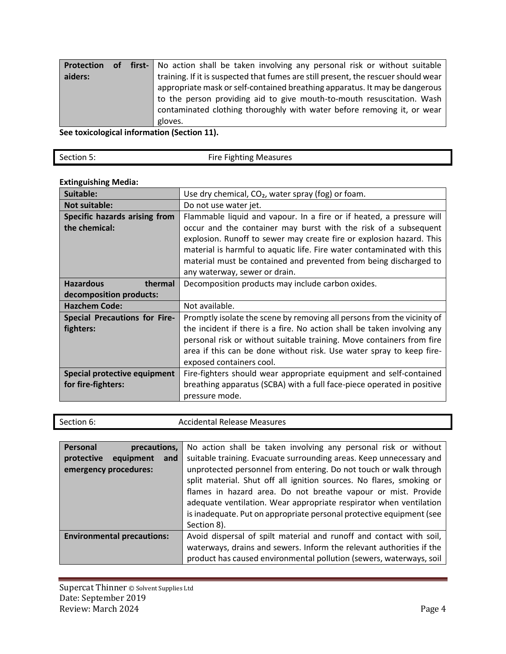| <b>Protection</b> |  | of first- No action shall be taken involving any personal risk or without suitable |
|-------------------|--|------------------------------------------------------------------------------------|
| aiders:           |  | training. If it is suspected that fumes are still present, the rescuer should wear |
|                   |  | appropriate mask or self-contained breathing apparatus. It may be dangerous        |
|                   |  | to the person providing aid to give mouth-to-mouth resuscitation. Wash             |
|                   |  | contaminated clothing thoroughly with water before removing it, or wear            |
|                   |  | gloves.                                                                            |

**See toxicological information (Section 11).**

| Section 5: | <b>Fire Fighting Measures</b> |
|------------|-------------------------------|
|            |                               |

# **Extinguishing Media:**

| Suitable:                            | Use dry chemical, CO <sub>2</sub> , water spray (fog) or foam.          |
|--------------------------------------|-------------------------------------------------------------------------|
| <b>Not suitable:</b>                 | Do not use water jet.                                                   |
| Specific hazards arising from        | Flammable liquid and vapour. In a fire or if heated, a pressure will    |
| the chemical:                        | occur and the container may burst with the risk of a subsequent         |
|                                      | explosion. Runoff to sewer may create fire or explosion hazard. This    |
|                                      | material is harmful to aquatic life. Fire water contaminated with this  |
|                                      | material must be contained and prevented from being discharged to       |
|                                      | any waterway, sewer or drain.                                           |
| <b>Hazardous</b><br>thermal          | Decomposition products may include carbon oxides.                       |
| decomposition products:              |                                                                         |
| <b>Hazchem Code:</b>                 | Not available.                                                          |
| <b>Special Precautions for Fire-</b> | Promptly isolate the scene by removing all persons from the vicinity of |
| fighters:                            | the incident if there is a fire. No action shall be taken involving any |
|                                      | personal risk or without suitable training. Move containers from fire   |
|                                      | area if this can be done without risk. Use water spray to keep fire-    |
|                                      | exposed containers cool.                                                |
| Special protective equipment         | Fire-fighters should wear appropriate equipment and self-contained      |
| for fire-fighters:                   | breathing apparatus (SCBA) with a full face-piece operated in positive  |
|                                      | pressure mode.                                                          |

|--|

| Personal<br>precautions,                                | No action shall be taken involving any personal risk or without                                                                                                                                                                                                                                                                                         |  |
|---------------------------------------------------------|---------------------------------------------------------------------------------------------------------------------------------------------------------------------------------------------------------------------------------------------------------------------------------------------------------------------------------------------------------|--|
| protective<br>equipment<br>and<br>emergency procedures: | suitable training. Evacuate surrounding areas. Keep unnecessary and<br>unprotected personnel from entering. Do not touch or walk through<br>split material. Shut off all ignition sources. No flares, smoking or<br>flames in hazard area. Do not breathe vapour or mist. Provide<br>adequate ventilation. Wear appropriate respirator when ventilation |  |
|                                                         | is inadequate. Put on appropriate personal protective equipment (see<br>Section 8).                                                                                                                                                                                                                                                                     |  |
| <b>Environmental precautions:</b>                       | Avoid dispersal of spilt material and runoff and contact with soil,                                                                                                                                                                                                                                                                                     |  |
|                                                         | waterways, drains and sewers. Inform the relevant authorities if the                                                                                                                                                                                                                                                                                    |  |
|                                                         | product has caused environmental pollution (sewers, waterways, soil                                                                                                                                                                                                                                                                                     |  |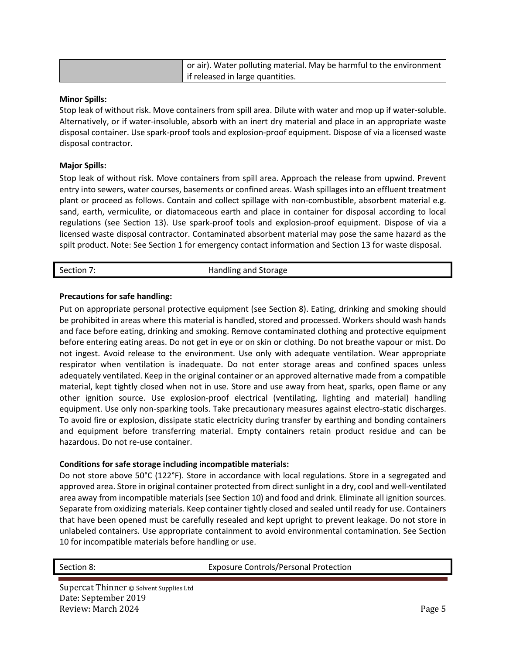| or air). Water polluting material. May be harmful to the environment, |  |  |
|-----------------------------------------------------------------------|--|--|
| if released in large quantities.                                      |  |  |

### **Minor Spills:**

Stop leak of without risk. Move containers from spill area. Dilute with water and mop up if water-soluble. Alternatively, or if water-insoluble, absorb with an inert dry material and place in an appropriate waste disposal container. Use spark-proof tools and explosion-proof equipment. Dispose of via a licensed waste disposal contractor.

### **Major Spills:**

Stop leak of without risk. Move containers from spill area. Approach the release from upwind. Prevent entry into sewers, water courses, basements or confined areas. Wash spillages into an effluent treatment plant or proceed as follows. Contain and collect spillage with non-combustible, absorbent material e.g. sand, earth, vermiculite, or diatomaceous earth and place in container for disposal according to local regulations (see Section 13). Use spark-proof tools and explosion-proof equipment. Dispose of via a licensed waste disposal contractor. Contaminated absorbent material may pose the same hazard as the spilt product. Note: See Section 1 for emergency contact information and Section 13 for waste disposal.

### Section 7: Section 7: Section 7: Section 7: Section 7: Section 7: Section 3: Section 3: Section 3: Section 4: Section 4: Section 4: Section 4: Section 4: Section 4: Section 4: Section 4: Section 4: Section 4: Section 4: Se

### **Precautions for safe handling:**

Put on appropriate personal protective equipment (see Section 8). Eating, drinking and smoking should be prohibited in areas where this material is handled, stored and processed. Workers should wash hands and face before eating, drinking and smoking. Remove contaminated clothing and protective equipment before entering eating areas. Do not get in eye or on skin or clothing. Do not breathe vapour or mist. Do not ingest. Avoid release to the environment. Use only with adequate ventilation. Wear appropriate respirator when ventilation is inadequate. Do not enter storage areas and confined spaces unless adequately ventilated. Keep in the original container or an approved alternative made from a compatible material, kept tightly closed when not in use. Store and use away from heat, sparks, open flame or any other ignition source. Use explosion-proof electrical (ventilating, lighting and material) handling equipment. Use only non-sparking tools. Take precautionary measures against electro-static discharges. To avoid fire or explosion, dissipate static electricity during transfer by earthing and bonding containers and equipment before transferring material. Empty containers retain product residue and can be hazardous. Do not re-use container.

### **Conditions for safe storage including incompatible materials:**

Do not store above 50°C (122°F). Store in accordance with local regulations. Store in a segregated and approved area. Store in original container protected from direct sunlight in a dry, cool and well-ventilated area away from incompatible materials (see Section 10) and food and drink. Eliminate all ignition sources. Separate from oxidizing materials. Keep container tightly closed and sealed until ready for use. Containers that have been opened must be carefully resealed and kept upright to prevent leakage. Do not store in unlabeled containers. Use appropriate containment to avoid environmental contamination. See Section 10 for incompatible materials before handling or use.

Section 8: Exposure Controls/Personal Protection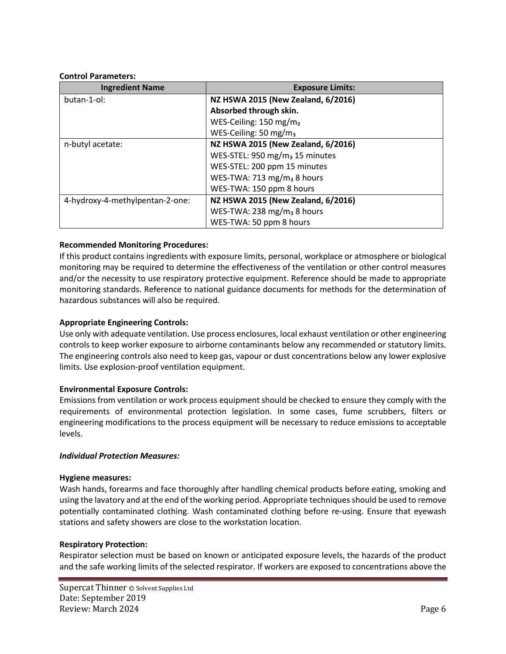### **Control Parameters:**

| <b>Ingredient Name</b>          | <b>Exposure Limits:</b>                    |  |  |  |
|---------------------------------|--------------------------------------------|--|--|--|
| butan-1-ol:                     | NZ HSWA 2015 (New Zealand, 6/2016)         |  |  |  |
|                                 | Absorbed through skin.                     |  |  |  |
|                                 | WES-Ceiling: 150 mg/m <sub>3</sub>         |  |  |  |
|                                 | WES-Ceiling: 50 mg/m <sub>3</sub>          |  |  |  |
| n-butyl acetate:                | NZ HSWA 2015 (New Zealand, 6/2016)         |  |  |  |
|                                 | WES-STEL: 950 mg/m <sub>3</sub> 15 minutes |  |  |  |
|                                 | WES-STEL: 200 ppm 15 minutes               |  |  |  |
|                                 | WES-TWA: 713 mg/m <sub>3</sub> 8 hours     |  |  |  |
|                                 | WES-TWA: 150 ppm 8 hours                   |  |  |  |
| 4-hydroxy-4-methylpentan-2-one: | NZ HSWA 2015 (New Zealand, 6/2016)         |  |  |  |
|                                 | WES-TWA: 238 mg/m <sub>3</sub> 8 hours     |  |  |  |
|                                 | WES-TWA: 50 ppm 8 hours                    |  |  |  |

# **Recommended Monitoring Procedures:**

If this product contains ingredients with exposure limits, personal, workplace or atmosphere or biological monitoring may be required to determine the effectiveness of the ventilation or other control measures and/or the necessity to use respiratory protective equipment. Reference should be made to appropriate monitoring standards. Reference to national guidance documents for methods for the determination of hazardous substances will also be required.

# **Appropriate Engineering Controls:**

Use only with adequate ventilation. Use process enclosures, local exhaust ventilation or other engineering controls to keep worker exposure to airborne contaminants below any recommended or statutory limits. The engineering controls also need to keep gas, vapour or dust concentrations below any lower explosive limits. Use explosion-proof ventilation equipment.

# **Environmental Exposure Controls:**

Emissions from ventilation or work process equipment should be checked to ensure they comply with the requirements of environmental protection legislation. In some cases, fume scrubbers, filters or engineering modifications to the process equipment will be necessary to reduce emissions to acceptable levels.

### *Individual Protection Measures:*

### **Hygiene measures:**

Wash hands, forearms and face thoroughly after handling chemical products before eating, smoking and using the lavatory and at the end of the working period. Appropriate techniques should be used to remove potentially contaminated clothing. Wash contaminated clothing before re-using. Ensure that eyewash stations and safety showers are close to the workstation location.

### **Respiratory Protection:**

Respirator selection must be based on known or anticipated exposure levels, the hazards of the product and the safe working limits of the selected respirator. If workers are exposed to concentrations above the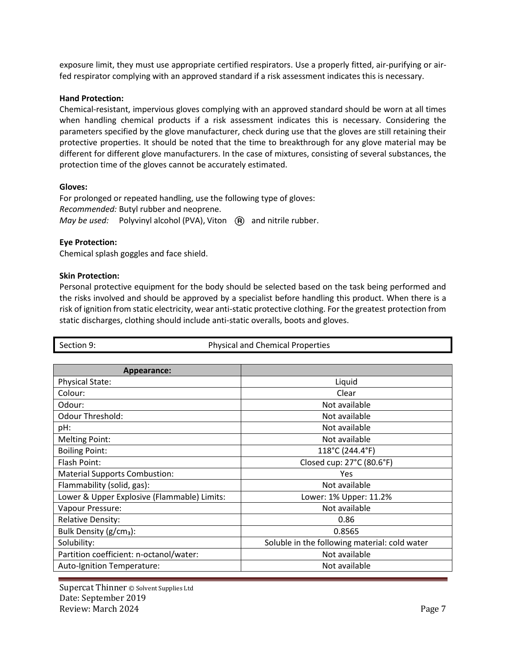exposure limit, they must use appropriate certified respirators. Use a properly fitted, air-purifying or airfed respirator complying with an approved standard if a risk assessment indicates this is necessary.

### **Hand Protection:**

Chemical-resistant, impervious gloves complying with an approved standard should be worn at all times when handling chemical products if a risk assessment indicates this is necessary. Considering the parameters specified by the glove manufacturer, check during use that the gloves are still retaining their protective properties. It should be noted that the time to breakthrough for any glove material may be different for different glove manufacturers. In the case of mixtures, consisting of several substances, the protection time of the gloves cannot be accurately estimated.

### **Gloves:**

For prolonged or repeated handling, use the following type of gloves: *Recommended:* Butyl rubber and neoprene. *May be used:* Polyvinyl alcohol (PVA), Viton (R) and nitrile rubber.

# **Eye Protection:**

Chemical splash goggles and face shield.

### **Skin Protection:**

Personal protective equipment for the body should be selected based on the task being performed and the risks involved and should be approved by a specialist before handling this product. When there is a risk of ignition from static electricity, wear anti-static protective clothing. For the greatest protection from static discharges, clothing should include anti-static overalls, boots and gloves.

| Section 9:                                  | <b>Physical and Chemical Properties</b>       |
|---------------------------------------------|-----------------------------------------------|
|                                             |                                               |
| Appearance:                                 |                                               |
| <b>Physical State:</b>                      | Liquid                                        |
| Colour:                                     | Clear                                         |
| Odour:                                      | Not available                                 |
| <b>Odour Threshold:</b>                     | Not available                                 |
| pH:                                         | Not available                                 |
| <b>Melting Point:</b>                       | Not available                                 |
| <b>Boiling Point:</b>                       | 118°C (244.4°F)                               |
| Flash Point:                                | Closed cup: 27°C (80.6°F)                     |
| <b>Material Supports Combustion:</b>        | Yes                                           |
| Flammability (solid, gas):                  | Not available                                 |
| Lower & Upper Explosive (Flammable) Limits: | Lower: 1% Upper: 11.2%                        |
| Vapour Pressure:                            | Not available                                 |
| <b>Relative Density:</b>                    | 0.86                                          |
| Bulk Density (g/cm <sub>3</sub> ):          | 0.8565                                        |
| Solubility:                                 | Soluble in the following material: cold water |
| Partition coefficient: n-octanol/water:     | Not available                                 |
| Auto-Ignition Temperature:                  | Not available                                 |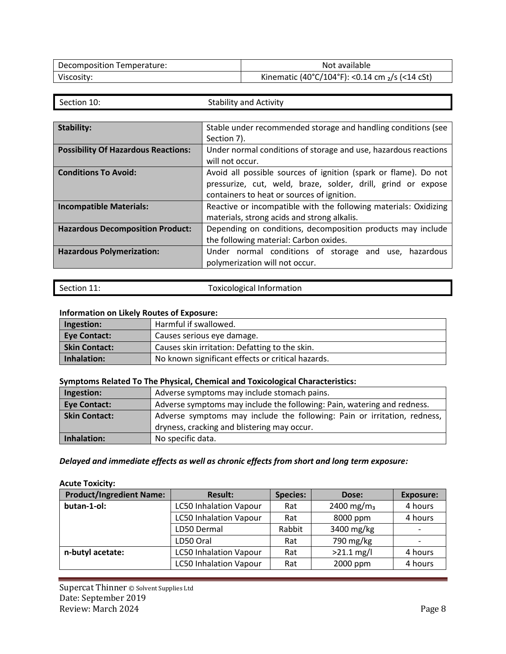| Decomposition Temperature: | Not available                                      |
|----------------------------|----------------------------------------------------|
| Viscosity:                 | Kinematic (40°C/104°F): <0.14 cm $_2$ /s (<14 cSt) |

| ınn<br>Τ<br>. .<br>. . |  |
|------------------------|--|

Section 10: Section 10: Stability and Activity

| <b>Stability:</b><br>Stable under recommended storage and handling conditions (see<br>Section 7).<br><b>Possibility Of Hazardous Reactions:</b><br>Under normal conditions of storage and use, hazardous reactions |
|--------------------------------------------------------------------------------------------------------------------------------------------------------------------------------------------------------------------|
|                                                                                                                                                                                                                    |
|                                                                                                                                                                                                                    |
|                                                                                                                                                                                                                    |
| will not occur.                                                                                                                                                                                                    |
| <b>Conditions To Avoid:</b><br>Avoid all possible sources of ignition (spark or flame). Do not                                                                                                                     |
| pressurize, cut, weld, braze, solder, drill, grind or expose                                                                                                                                                       |
| containers to heat or sources of ignition.                                                                                                                                                                         |
| <b>Incompatible Materials:</b><br>Reactive or incompatible with the following materials: Oxidizing                                                                                                                 |
| materials, strong acids and strong alkalis.                                                                                                                                                                        |
| <b>Hazardous Decomposition Product:</b><br>Depending on conditions, decomposition products may include                                                                                                             |
| the following material: Carbon oxides.                                                                                                                                                                             |
| <b>Hazardous Polymerization:</b><br>Under normal conditions of storage and use,<br>hazardous                                                                                                                       |
| polymerization will not occur.                                                                                                                                                                                     |

| Toxicological Information<br>Section 11: |
|------------------------------------------|
|                                          |

# **Information on Likely Routes of Exposure:**

| Ingestion:           | Harmful if swallowed.                             |
|----------------------|---------------------------------------------------|
| <b>Eye Contact:</b>  | Causes serious eye damage.                        |
| <b>Skin Contact:</b> | Causes skin irritation: Defatting to the skin.    |
| Inhalation:          | No known significant effects or critical hazards. |

# **Symptoms Related To The Physical, Chemical and Toxicological Characteristics:**

| Ingestion:           | Adverse symptoms may include stomach pains.                              |
|----------------------|--------------------------------------------------------------------------|
| <b>Eye Contact:</b>  | Adverse symptoms may include the following: Pain, watering and redness.  |
| <b>Skin Contact:</b> | Adverse symptoms may include the following: Pain or irritation, redness, |
|                      | dryness, cracking and blistering may occur.                              |
| Inhalation:          | No specific data.                                                        |

# *Delayed and immediate effects as well as chronic effects from short and long term exposure:*

# **Acute Toxicity:**

| <b>Product/Ingredient Name:</b> | <b>Result:</b>                | <b>Species:</b> | Dose:                  | <b>Exposure:</b> |
|---------------------------------|-------------------------------|-----------------|------------------------|------------------|
| butan-1-ol:                     | <b>LC50 Inhalation Vapour</b> | Rat             | 2400 mg/m <sub>3</sub> | 4 hours          |
|                                 | <b>LC50 Inhalation Vapour</b> | Rat             | 8000 ppm               | 4 hours          |
|                                 | LD50 Dermal                   | Rabbit          | 3400 mg/kg             |                  |
|                                 | LD50 Oral                     | Rat             | 790 mg/kg              |                  |
| n-butyl acetate:                | <b>LC50 Inhalation Vapour</b> | Rat             | $>21.1$ mg/l           | 4 hours          |
|                                 | <b>LC50 Inhalation Vapour</b> | Rat             | 2000 ppm               | 4 hours          |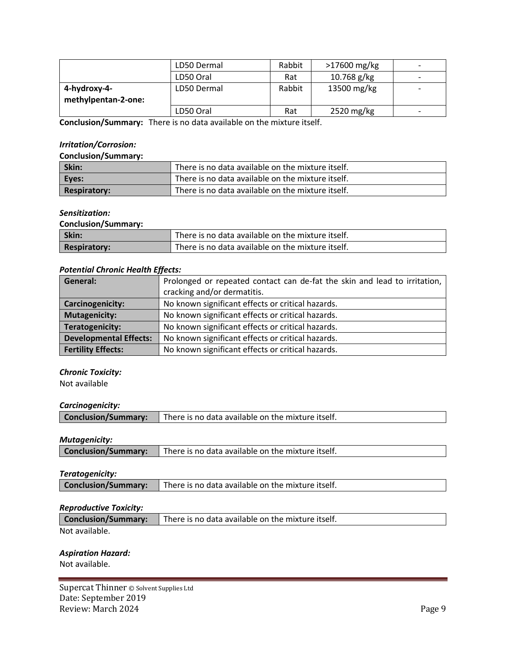|                     | LD50 Dermal | Rabbit | $>17600$ mg/kg | $\overline{\phantom{a}}$ |
|---------------------|-------------|--------|----------------|--------------------------|
|                     | LD50 Oral   | Rat    | $10.768$ g/kg  | $\overline{\phantom{0}}$ |
| 4-hydroxy-4-        | LD50 Dermal | Rabbit | 13500 mg/kg    |                          |
| methylpentan-2-one: |             |        |                |                          |
|                     | LD50 Oral   | Rat    | 2520 mg/kg     | $\overline{\phantom{0}}$ |

**Conclusion/Summary:** There is no data available on the mixture itself.

# *Irritation/Corrosion:*

### **Conclusion/Summary:**

| Skin:               | There is no data available on the mixture itself. |  |
|---------------------|---------------------------------------------------|--|
| Eyes:               | There is no data available on the mixture itself. |  |
| <b>Respiratory:</b> | There is no data available on the mixture itself. |  |

### *Sensitization:*

**Conclusion/Summary:**

| Skin:               | There is no data available on the mixture itself. |
|---------------------|---------------------------------------------------|
| <b>Respiratory:</b> | There is no data available on the mixture itself. |

# *Potential Chronic Health Effects:*

| General:                      | Prolonged or repeated contact can de-fat the skin and lead to irritation, |  |
|-------------------------------|---------------------------------------------------------------------------|--|
|                               | cracking and/or dermatitis.                                               |  |
| <b>Carcinogenicity:</b>       | No known significant effects or critical hazards.                         |  |
| Mutagenicity:                 | No known significant effects or critical hazards.                         |  |
| Teratogenicity:               | No known significant effects or critical hazards.                         |  |
| <b>Developmental Effects:</b> | No known significant effects or critical hazards.                         |  |
| <b>Fertility Effects:</b>     | No known significant effects or critical hazards.                         |  |

# *Chronic Toxicity:*

Not available

### *Carcinogenicity:*

| <b>Conclusion/Summary:</b><br>There is no data available on the mixture itself. |  |
|---------------------------------------------------------------------------------|--|
|---------------------------------------------------------------------------------|--|

# *Mutagenicity:*

| There is no data available on the mixture itself.<br><b>Conclusion/Summary:</b> |
|---------------------------------------------------------------------------------|
|---------------------------------------------------------------------------------|

### *Teratogenicity:*

### *Reproductive Toxicity:*

| <b>Conclusion/Summary:</b> There is no data available on the mixture itself. |
|------------------------------------------------------------------------------|
|------------------------------------------------------------------------------|

Not available.

### *Aspiration Hazard:*

Not available.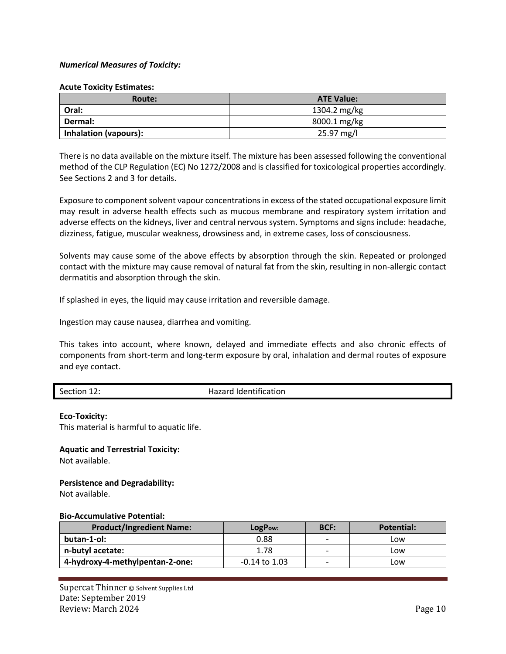### *Numerical Measures of Toxicity:*

### **Acute Toxicity Estimates:**

| Route:                       | <b>ATE Value:</b> |
|------------------------------|-------------------|
| Oral:                        | 1304.2 mg/kg      |
| Dermal:                      | 8000.1 mg/kg      |
| <b>Inhalation (vapours):</b> | 25.97 mg/l        |

There is no data available on the mixture itself. The mixture has been assessed following the conventional method of the CLP Regulation (EC) No 1272/2008 and is classified for toxicological properties accordingly. See Sections 2 and 3 for details.

Exposure to component solvent vapour concentrations in excess of the stated occupational exposure limit may result in adverse health effects such as mucous membrane and respiratory system irritation and adverse effects on the kidneys, liver and central nervous system. Symptoms and signs include: headache, dizziness, fatigue, muscular weakness, drowsiness and, in extreme cases, loss of consciousness.

Solvents may cause some of the above effects by absorption through the skin. Repeated or prolonged contact with the mixture may cause removal of natural fat from the skin, resulting in non-allergic contact dermatitis and absorption through the skin.

If splashed in eyes, the liquid may cause irritation and reversible damage.

Ingestion may cause nausea, diarrhea and vomiting.

This takes into account, where known, delayed and immediate effects and also chronic effects of components from short-term and long-term exposure by oral, inhalation and dermal routes of exposure and eye contact.

Section 12: Section 12: Section 12:

### **Eco-Toxicity:**

This material is harmful to aquatic life.

### **Aquatic and Terrestrial Toxicity:**

Not available.

### **Persistence and Degradability:**

Not available.

### **Bio-Accumulative Potential:**

| <b>Product/Ingredient Name:</b> | LogPow:           | <b>BCF:</b>              | <b>Potential:</b> |
|---------------------------------|-------------------|--------------------------|-------------------|
| butan-1-ol:                     | 0.88              |                          | Low               |
| n-butyl acetate:                | 1.78              | $\overline{\phantom{0}}$ | LOW.              |
| 4-hydroxy-4-methylpentan-2-one: | $-0.14$ to $1.03$ | $\overline{\phantom{0}}$ | ∟ow               |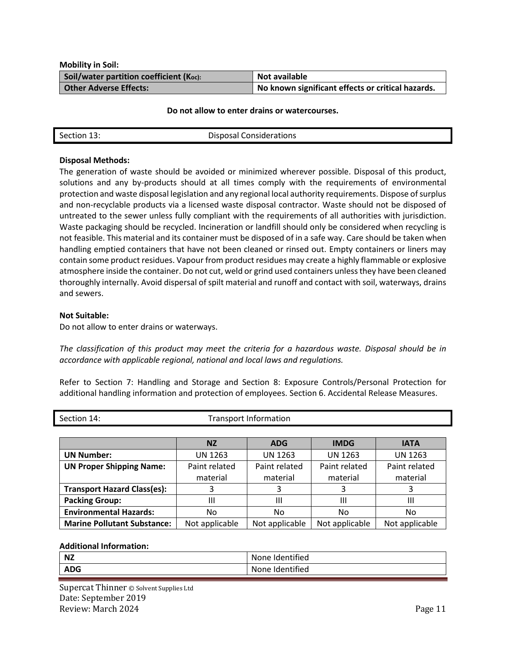**Mobility in Soil: Soil/water partition coefficient (Koc): Not available Other Adverse Effects: No known significant effects or critical hazards.**

#### **Do not allow to enter drains or watercourses.**

| Section 13: | <b>Disposal Considerations</b> |
|-------------|--------------------------------|
|-------------|--------------------------------|

### **Disposal Methods:**

The generation of waste should be avoided or minimized wherever possible. Disposal of this product, solutions and any by-products should at all times comply with the requirements of environmental protection and waste disposal legislation and any regional local authority requirements. Dispose of surplus and non-recyclable products via a licensed waste disposal contractor. Waste should not be disposed of untreated to the sewer unless fully compliant with the requirements of all authorities with jurisdiction. Waste packaging should be recycled. Incineration or landfill should only be considered when recycling is not feasible. This material and its container must be disposed of in a safe way. Care should be taken when handling emptied containers that have not been cleaned or rinsed out. Empty containers or liners may contain some product residues. Vapour from product residues may create a highly flammable or explosive atmosphere inside the container. Do not cut, weld or grind used containers unless they have been cleaned thoroughly internally. Avoid dispersal of spilt material and runoff and contact with soil, waterways, drains and sewers.

### **Not Suitable:**

Do not allow to enter drains or waterways.

*The classification of this product may meet the criteria for a hazardous waste. Disposal should be in accordance with applicable regional, national and local laws and regulations.*

Refer to Section 7: Handling and Storage and Section 8: Exposure Controls/Personal Protection for additional handling information and protection of employees. Section 6. Accidental Release Measures.

| Section 14:                        | <b>Transport Information</b> |                |                |                |
|------------------------------------|------------------------------|----------------|----------------|----------------|
|                                    |                              |                |                |                |
|                                    | <b>NZ</b>                    | <b>ADG</b>     | <b>IMDG</b>    | <b>IATA</b>    |
| <b>UN Number:</b>                  | <b>UN 1263</b>               | <b>UN 1263</b> | <b>UN 1263</b> | UN 1263        |
| <b>UN Proper Shipping Name:</b>    | Paint related                | Paint related  | Paint related  | Paint related  |
|                                    | material                     | material       | material       | material       |
| <b>Transport Hazard Class(es):</b> | 3                            | 3              | 3              | 3              |
| <b>Packing Group:</b>              | Ш                            | Ш              | Ш              | Ш              |
| <b>Environmental Hazards:</b>      | No                           | No             | No             | No             |
| <b>Marine Pollutant Substance:</b> | Not applicable               | Not applicable | Not applicable | Not applicable |

### **Additional Information:**

| <b>NZ</b>  | <br>$\sim$ $\sim$<br>itified<br>none<br>iue. |
|------------|----------------------------------------------|
| <b>ADG</b> | <br>None<br>$\sim$ $\sim$<br>ndentified      |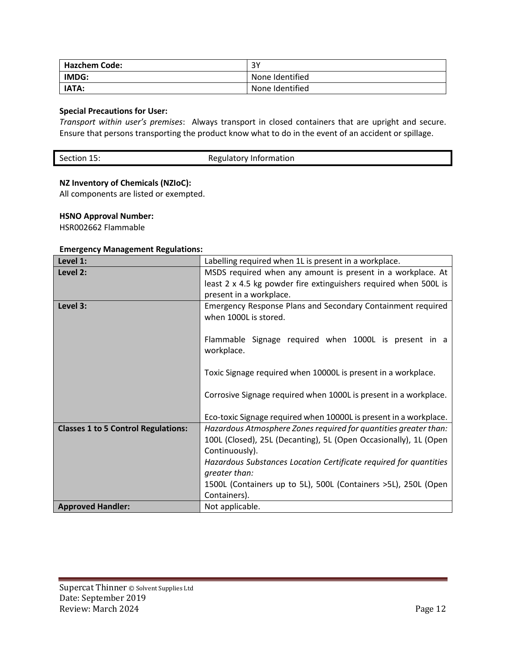| <b>Hazchem Code:</b> | 3Υ              |
|----------------------|-----------------|
| IMDG:                | None Identified |
| IATA:                | None Identified |

# **Special Precautions for User:**

*Transport within user's premises*: Always transport in closed containers that are upright and secure. Ensure that persons transporting the product know what to do in the event of an accident or spillage.

# **NZ Inventory of Chemicals (NZIoC):**

All components are listed or exempted.

# **HSNO Approval Number:**

HSR002662 Flammable

### **Emergency Management Regulations:**

| Level 1:                                   | Labelling required when 1L is present in a workplace.             |
|--------------------------------------------|-------------------------------------------------------------------|
| Level 2:                                   | MSDS required when any amount is present in a workplace. At       |
|                                            | least 2 x 4.5 kg powder fire extinguishers required when 500L is  |
|                                            | present in a workplace.                                           |
| Level 3:                                   | Emergency Response Plans and Secondary Containment required       |
|                                            | when 1000L is stored.                                             |
|                                            |                                                                   |
|                                            | Flammable Signage required when 1000L is present in a             |
|                                            | workplace.                                                        |
|                                            |                                                                   |
|                                            | Toxic Signage required when 10000L is present in a workplace.     |
|                                            |                                                                   |
|                                            | Corrosive Signage required when 1000L is present in a workplace.  |
|                                            |                                                                   |
|                                            | Eco-toxic Signage required when 10000L is present in a workplace. |
| <b>Classes 1 to 5 Control Regulations:</b> | Hazardous Atmosphere Zones required for quantities greater than:  |
|                                            | 100L (Closed), 25L (Decanting), 5L (Open Occasionally), 1L (Open  |
|                                            | Continuously).                                                    |
|                                            | Hazardous Substances Location Certificate required for quantities |
|                                            | greater than:                                                     |
|                                            | 1500L (Containers up to 5L), 500L (Containers >5L), 250L (Open    |
|                                            | Containers).                                                      |
| <b>Approved Handler:</b>                   | Not applicable.                                                   |